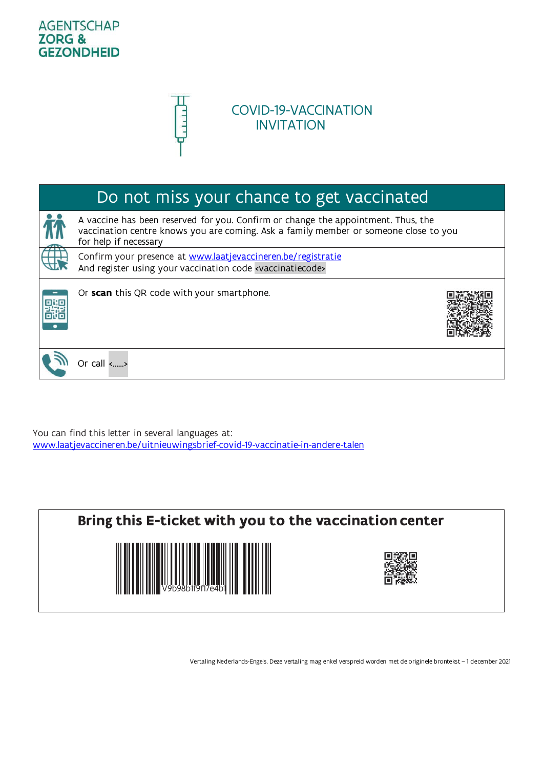### **AGENTSCHAP ZORG & GEZONDHEID**



## COVID-19-VACCINATION INVITATION

# Do not miss your chance to get vaccinated

A vaccine has been reserved for you. Confirm or change the appointment. Thus, the vaccination centre knows you are coming. Ask a family member or someone close to you for help if necessary Confirm your presence at [www.laatjevaccineren.be/registratie](http://www.laatjevaccineren.be/registratie)

And register using your vaccination code <vaccinatiecode>



Or **scan** this QR code with your smartphone.



Or call <……>

You can find this letter in several languages at: [www.laatjevaccineren.be/uitnieuwingsbrief-covid-19-vaccinatie-in-andere-talen](http://www.laatjevaccineren.be/uitnieuwingsbrief-covid-19-vaccinatie-in-andere-talen)



Vertaling Nederlands-Engels. Deze vertaling mag enkel verspreid worden met de originele brontekst – 1 december 2021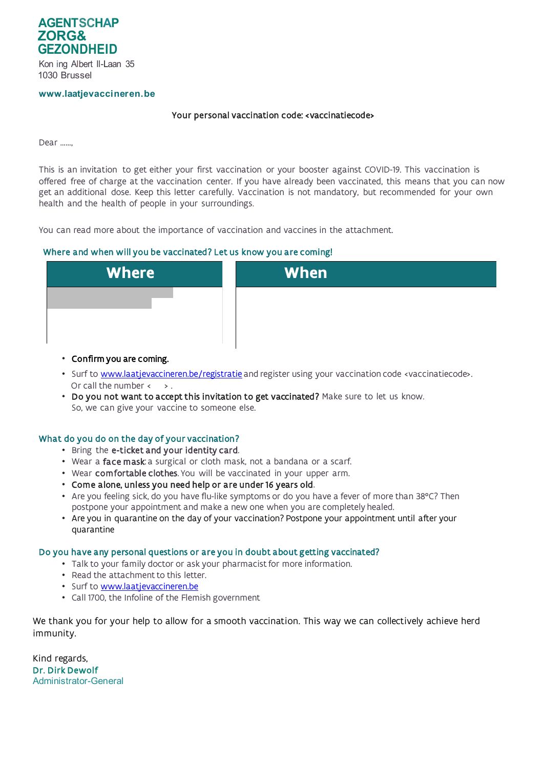

Kon ing Albert Il-Laan 35 1030 Brussel

#### **[www.laatjevaccineren.be](http://www.laatjevaccineren.be/)**

### Your personal vaccination code: <vaccinatiecode>

Dear ……,

This is an invitation to get either your first vaccination or your booster against COVID-19. This vaccination is offered free of charge at the vaccination center. If you have already been vaccinated, this means that you can now get an additional dose. Keep this letter carefully. Vaccination is not mandatory, but recommended for your own health and the health of people in your surroundings.

You can read more about the importance of vaccination and vaccines in the attachment.

### Where and when will you be vaccinated? Let us know you are coming!



- Confirm you are coming.
- Surf to **www.laatjevaccineren.be/registratie** and register using your vaccination code <vaccinatiecode>. Or call the number  $\leftarrow$   $\rightarrow$ .
- Do you not want to accept this invitation to get vaccinated? Make sure to let us know. So, we can give your vaccine to someone else.

### What do you do on the day of your vaccination?

- Bring the e-ticket and your identity card.
- Wear a face mask: a surgical or cloth mask, not a bandana or a scarf.
- Wear comfortable clothes. You will be vaccinated in your upper arm.
- Come alone, unless you need help or are under 16 years old.
- Are you feeling sick, do you have flu-like symptoms or do you have a fever of more than 38°C? Then postpone your appointment and make a new one when you are completely healed.
- Are you in quarantine on the day of your vaccination? Postpone your appointment until after your quarantine

### Do you have any personal questions or are you in doubt about getting vaccinated?

- Talk to your family doctor or ask your pharmacist for more information.
- Read the attachment to this letter.
- Surf to [www.laatjevaccineren.be](http://www.laatjevaccineren.be/)
- Call 1700, the Infoline of the Flemish government

We thank you for your help to allow for a smooth vaccination. This way we can collectively achieve herd immunity.

Kind regards, Dr. Dirk Dewolf Administrator-General